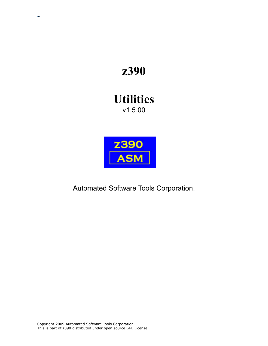# **z390**

## **Utilities** v1.5.00

l,



Automated Software Tools Corporation.